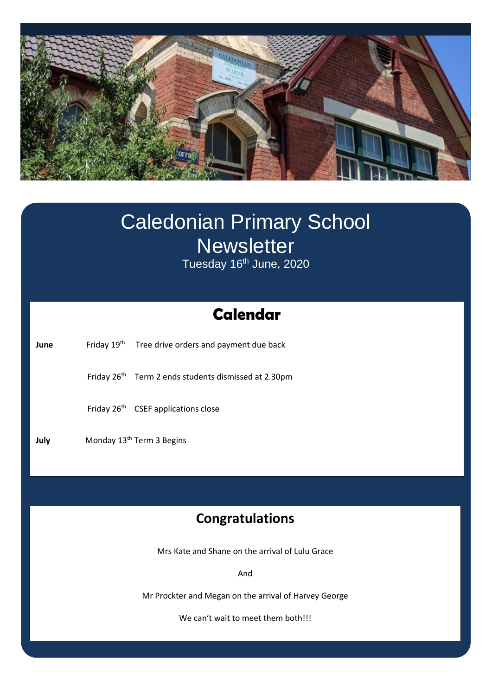

# **Swimming** Caledonian Primary School **Newsletter**

Tuesday 16<sup>th</sup> June, 2020

# **Calendar**

**June** Friday 19<sup>th</sup> Tree drive orders and payment due back

Friday 26<sup>th</sup> Term 2 ends students dismissed at 2.30pm

Friday 26<sup>th</sup> CSEF applications close

**July Monday 13<sup>th</sup> Term 3 Begins** 

# **Congratulations**

Mrs Kate and Shane on the arrival of Lulu Grace

And

Mr Prockter and Megan on the arrival of Harvey George

We can't wait to meet them both!!!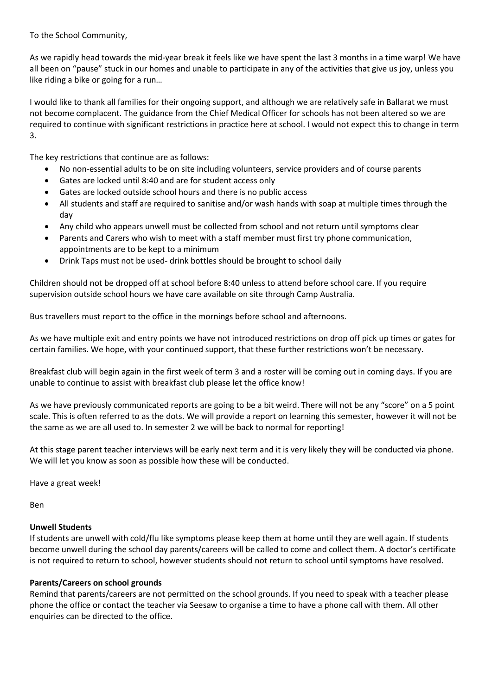To the School Community,

As we rapidly head towards the mid-year break it feels like we have spent the last 3 months in a time warp! We have all been on "pause" stuck in our homes and unable to participate in any of the activities that give us joy, unless you like riding a bike or going for a run…

I would like to thank all families for their ongoing support, and although we are relatively safe in Ballarat we must not become complacent. The guidance from the Chief Medical Officer for schools has not been altered so we are required to continue with significant restrictions in practice here at school. I would not expect this to change in term 3.

The key restrictions that continue are as follows:

- No non-essential adults to be on site including volunteers, service providers and of course parents
- Gates are locked until 8:40 and are for student access only
- Gates are locked outside school hours and there is no public access
- All students and staff are required to sanitise and/or wash hands with soap at multiple times through the day
- Any child who appears unwell must be collected from school and not return until symptoms clear
- Parents and Carers who wish to meet with a staff member must first try phone communication, appointments are to be kept to a minimum
- Drink Taps must not be used- drink bottles should be brought to school daily

Children should not be dropped off at school before 8:40 unless to attend before school care. If you require supervision outside school hours we have care available on site through Camp Australia.

Bus travellers must report to the office in the mornings before school and afternoons.

As we have multiple exit and entry points we have not introduced restrictions on drop off pick up times or gates for certain families. We hope, with your continued support, that these further restrictions won't be necessary.

Breakfast club will begin again in the first week of term 3 and a roster will be coming out in coming days. If you are unable to continue to assist with breakfast club please let the office know!

As we have previously communicated reports are going to be a bit weird. There will not be any "score" on a 5 point scale. This is often referred to as the dots. We will provide a report on learning this semester, however it will not be the same as we are all used to. In semester 2 we will be back to normal for reporting!

At this stage parent teacher interviews will be early next term and it is very likely they will be conducted via phone. We will let you know as soon as possible how these will be conducted.

Have a great week!

Ben

#### **Unwell Students**

If students are unwell with cold/flu like symptoms please keep them at home until they are well again. If students become unwell during the school day parents/careers will be called to come and collect them. A doctor's certificate is not required to return to school, however students should not return to school until symptoms have resolved.

#### **Parents/Careers on school grounds**

Remind that parents/careers are not permitted on the school grounds. If you need to speak with a teacher please phone the office or contact the teacher via Seesaw to organise a time to have a phone call with them. All other enquiries can be directed to the office.